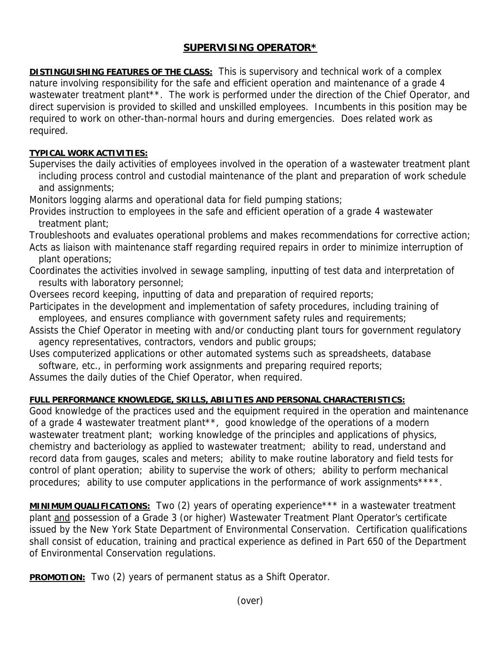## **SUPERVISING OPERATOR\***

**DISTINGUISHING FEATURES OF THE CLASS:** This is supervisory and technical work of a complex nature involving responsibility for the safe and efficient operation and maintenance of a grade 4 wastewater treatment plant<sup>\*\*</sup>. The work is performed under the direction of the Chief Operator, and direct supervision is provided to skilled and unskilled employees. Incumbents in this position may be required to work on other-than-normal hours and during emergencies. Does related work as required.

## **TYPICAL WORK ACTIVITIES:**

Supervises the daily activities of employees involved in the operation of a wastewater treatment plant including process control and custodial maintenance of the plant and preparation of work schedule and assignments;

Monitors logging alarms and operational data for field pumping stations;

Provides instruction to employees in the safe and efficient operation of a grade 4 wastewater treatment plant;

Troubleshoots and evaluates operational problems and makes recommendations for corrective action; Acts as liaison with maintenance staff regarding required repairs in order to minimize interruption of plant operations;

Coordinates the activities involved in sewage sampling, inputting of test data and interpretation of results with laboratory personnel;

Oversees record keeping, inputting of data and preparation of required reports;

Participates in the development and implementation of safety procedures, including training of employees, and ensures compliance with government safety rules and requirements;

Assists the Chief Operator in meeting with and/or conducting plant tours for government regulatory agency representatives, contractors, vendors and public groups;

Uses computerized applications or other automated systems such as spreadsheets, database software, etc., in performing work assignments and preparing required reports;

Assumes the daily duties of the Chief Operator, when required.

## **FULL PERFORMANCE KNOWLEDGE, SKILLS, ABILITIES AND PERSONAL CHARACTERISTICS:**

Good knowledge of the practices used and the equipment required in the operation and maintenance of a grade 4 wastewater treatment plant\*\*, good knowledge of the operations of a modern wastewater treatment plant; working knowledge of the principles and applications of physics, chemistry and bacteriology as applied to wastewater treatment; ability to read, understand and record data from gauges, scales and meters; ability to make routine laboratory and field tests for control of plant operation; ability to supervise the work of others; ability to perform mechanical procedures; ability to use computer applications in the performance of work assignments\*\*\*\*.

**MINIMUM QUALIFICATIONS:** Two (2) years of operating experience<sup>\*\*\*</sup> in a wastewater treatment plant and possession of a Grade 3 (or higher) Wastewater Treatment Plant Operator's certificate issued by the New York State Department of Environmental Conservation. Certification qualifications shall consist of education, training and practical experience as defined in Part 650 of the Department of Environmental Conservation regulations.

**PROMOTION:** Two (2) years of permanent status as a Shift Operator.